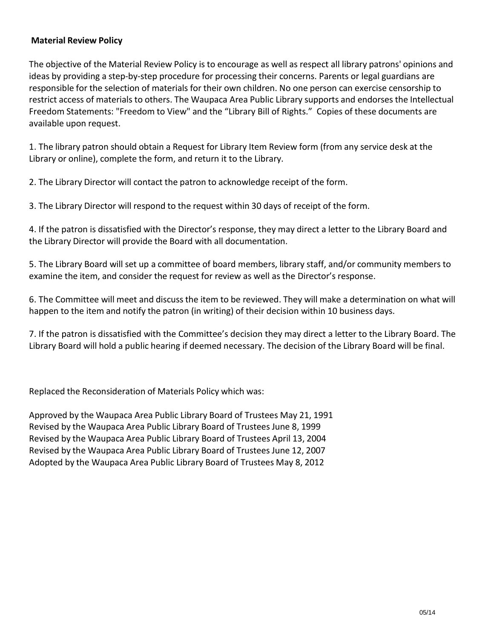## **Material Review Policy**

The objective of the Material Review Policy is to encourage as well as respect all library patrons' opinions and ideas by providing a step-by-step procedure for processing their concerns. Parents or legal guardians are responsible for the selection of materials for their own children. No one person can exercise censorship to restrict access of materials to others. The Waupaca Area Public Library supports and endorses the Intellectual Freedom Statements: "Freedom to View" and the "Library Bill of Rights." Copies of these documents are available upon request.

1. The library patron should obtain a Request for Library Item Review form (from any service desk at the Library or online), complete the form, and return it to the Library.

2. The Library Director will contact the patron to acknowledge receipt of the form.

3. The Library Director will respond to the request within 30 days of receipt of the form.

4. If the patron is dissatisfied with the Director's response, they may direct a letter to the Library Board and the Library Director will provide the Board with all documentation.

5. The Library Board will set up a committee of board members, library staff, and/or community members to examine the item, and consider the request for review as well as the Director's response.

6. The Committee will meet and discuss the item to be reviewed. They will make a determination on what will happen to the item and notify the patron (in writing) of their decision within 10 business days.

7. If the patron is dissatisfied with the Committee's decision they may direct a letter to the Library Board. The Library Board will hold a public hearing if deemed necessary. The decision of the Library Board will be final.

Replaced the Reconsideration of Materials Policy which was:

Approved by the Waupaca Area Public Library Board of Trustees May 21, 1991 Revised by the Waupaca Area Public Library Board of Trustees June 8, 1999 Revised by the Waupaca Area Public Library Board of Trustees April 13, 2004 Revised by the Waupaca Area Public Library Board of Trustees June 12, 2007 Adopted by the Waupaca Area Public Library Board of Trustees May 8, 2012